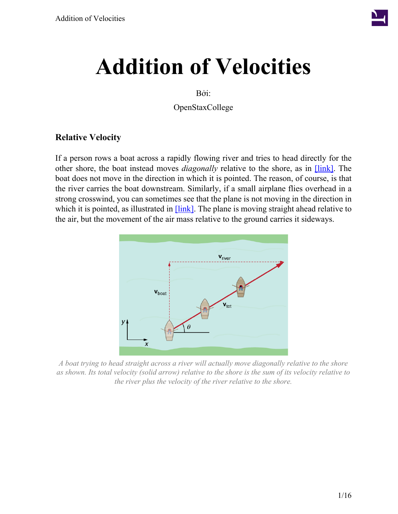

Bởi:

OpenStaxCollege

# **Relative Velocity**

<span id="page-0-0"></span>If a person rows a boat across a rapidly flowing river and tries to head directly for the other shore, the boat instead moves *diagonally* relative to the shore, as in [\[link\]](#page-0-0). The boat does not move in the direction in which it is pointed. The reason, of course, is that the river carries the boat downstream. Similarly, if a small airplane flies overhead in a strong crosswind, you can sometimes see that the plane is not moving in the direction in which it is pointed, as illustrated in  $[\text{link}]$ . The plane is moving straight ahead relative to the air, but the movement of the air mass relative to the ground carries it sideways.



*A boat trying to head straight across a river will actually move diagonally relative to the shore as shown. Its total velocity (solid arrow) relative to the shore is the sum of its velocity relative to the river plus the velocity of the river relative to the shore.*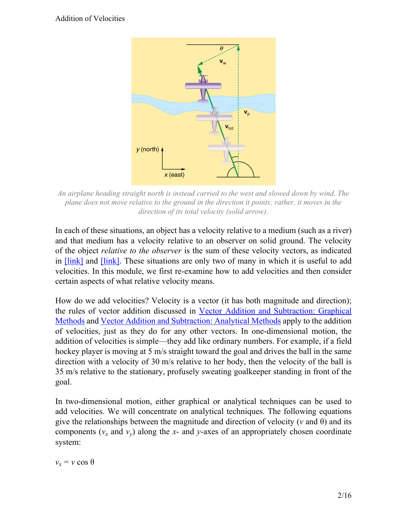<span id="page-1-0"></span>

*An airplane heading straight north is instead carried to the west and slowed down by wind. The plane does not move relative to the ground in the direction it points; rather, it moves in the direction of its total velocity (solid arrow).*

In each of these situations, an object has a velocity relative to a medium (such as a river) and that medium has a velocity relative to an observer on solid ground. The velocity of the object *relative to the observer* is the sum of these velocity vectors, as indicated in [\[link\]](#page-0-0) and [\[link\].](#page-1-0) These situations are only two of many in which it is useful to add velocities. In this module, we first re-examine how to add velocities and then consider certain aspects of what relative velocity means.

How do we add velocities? Velocity is a vector (it has both magnitude and direction); the rules of vector addition discussed in Vector Addition and [Subtraction:](/m42127) Graphical [Methods](/m42127) and Vector Addition and [Subtraction:](/m42128) Analytical Methods apply to the addition of velocities, just as they do for any other vectors. In one-dimensional motion, the addition of velocities is simple—they add like ordinary numbers. For example, if a field hockey player is moving at 5 m/s straight toward the goal and drives the ball in the same direction with a velocity of 30 m/s relative to her body, then the velocity of the ball is 35 m/s relative to the stationary, profusely sweating goalkeeper standing in front of the goal.

In two-dimensional motion, either graphical or analytical techniques can be used to add velocities. We will concentrate on analytical techniques. The following equations give the relationships between the magnitude and direction of velocity (*v* and θ) and its components  $(v_x$  and  $v_y$ ) along the *x*- and *y*-axes of an appropriately chosen coordinate system:

 $v_x = v \cos \theta$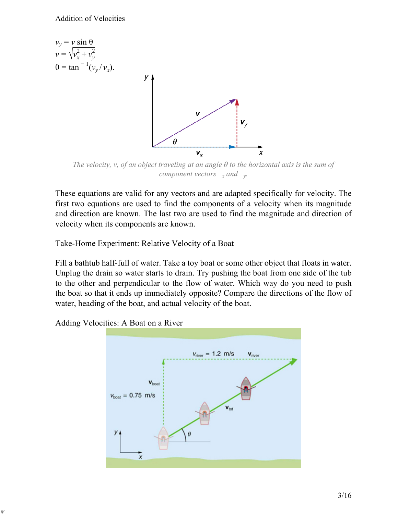

*The velocity, v, of an object traveling at an angle θ to the horizontal axis is the sum of component vectors <sup>x</sup> and <sup>y</sup> .*

These equations are valid for any vectors and are adapted specifically for velocity. The first two equations are used to find the components of a velocity when its magnitude and direction are known. The last two are used to find the magnitude and direction of velocity when its components are known.

Take-Home Experiment: Relative Velocity of a Boat

Fill a bathtub half-full of water. Take a toy boat or some other object that floats in water. Unplug the drain so water starts to drain. Try pushing the boat from one side of the tub to the other and perpendicular to the flow of water. Which way do you need to push the boat so that it ends up immediately opposite? Compare the directions of the flow of water, heading of the boat, and actual velocity of the boat.

<span id="page-2-0"></span>Adding Velocities: A Boat on a River

**v**

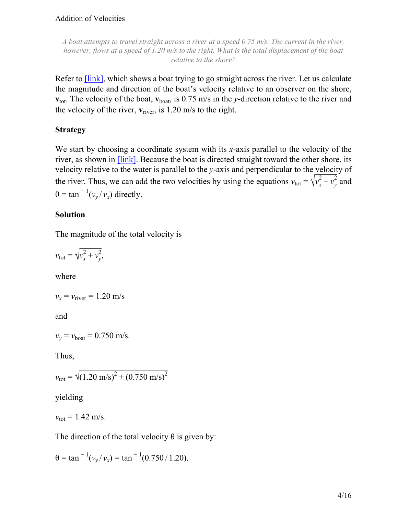*A boat attempts to travel straight across a river at a speed 0.75 m/s. The current in the river, however, flows at a speed of 1.20 m/s to the right. What is the total displacement of the boat relative to the shore?*

Refer to [\[link\],](#page-2-0) which shows a boat trying to go straight across the river. Let us calculate the magnitude and direction of the boat's velocity relative to an observer on the shore,  $v_{\text{tot}}$ . The velocity of the boat,  $v_{\text{boat}}$ , is 0.75 m/s in the *y*-direction relative to the river and the velocity of the river,  $v_{\text{river}}$ , is 1.20 m/s to the right.

## **Strategy**

We start by choosing a coordinate system with its *x*-axis parallel to the velocity of the river, as shown in [\[link\]](#page-2-0). Because the boat is directed straight toward the other shore, its velocity relative to the water is parallel to the *y*-axis and perpendicular to the velocity of the river. Thus, we can add the two velocities by using the equations  $v_{\text{tot}} = \sqrt{v_x^2 + v_y^2}$  and  $\theta = \tan^{-1}(v_y/v_x)$  directly.

#### **Solution**

The magnitude of the total velocity is

$$
v_{\text{tot}} = \sqrt{v_x^2 + v_y^2},
$$

where

$$
v_x = v_{\text{river}} = 1.20 \text{ m/s}
$$

and

$$
v_y = v_{boat} = 0.750
$$
 m/s.

Thus,

$$
v_{\text{tot}} = \sqrt{(1.20 \text{ m/s})^2 + (0.750 \text{ m/s})^2}
$$

yielding

 $v_{\text{tot}} = 1.42 \text{ m/s}.$ 

The direction of the total velocity  $\theta$  is given by:

$$
\theta = \tan^{-1}(v_y/v_x) = \tan^{-1}(0.750/1.20).
$$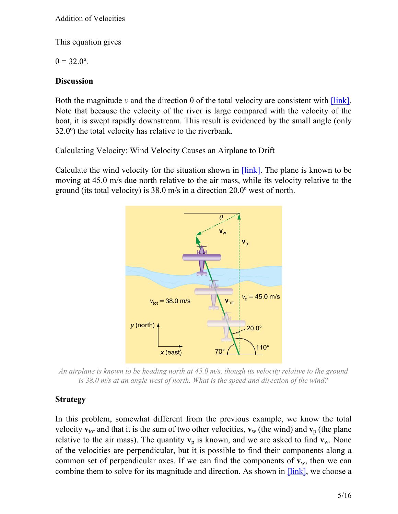This equation gives

 $\theta = 32.0^\circ$ .

## **Discussion**

Both the magnitude *v* and the direction θ of the total velocity are consistent with [\[link\].](#page-2-0) Note that because the velocity of the river is large compared with the velocity of the boat, it is swept rapidly downstream. This result is evidenced by the small angle (only 32.0º) the total velocity has relative to the riverbank.

Calculating Velocity: Wind Velocity Causes an Airplane to Drift

<span id="page-4-0"></span>Calculate the wind velocity for the situation shown in **[link]**. The plane is known to be moving at 45.0 m/s due north relative to the air mass, while its velocity relative to the ground (its total velocity) is 38.0 m/s in a direction 20.0º west of north.



*An airplane is known to be heading north at 45.0 m/s, though its velocity relative to the ground is 38.0 m/s at an angle west of north. What is the speed and direction of the wind?*

## **Strategy**

In this problem, somewhat different from the previous example, we know the total velocity  $v_{\text{tot}}$  and that it is the sum of two other velocities,  $v_w$  (the wind) and  $v_p$  (the plane relative to the air mass). The quantity  $v_p$  is known, and we are asked to find  $v_w$ . None of the velocities are perpendicular, but it is possible to find their components along a common set of perpendicular axes. If we can find the components of  $v_w$ , then we can combine them to solve for its magnitude and direction. As shown in  $[link]$ , we choose a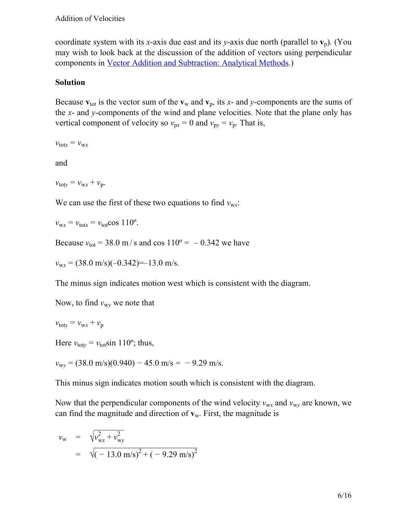coordinate system with its *x*-axis due east and its *y*-axis due north (parallel to  $v_p$ ). (You may wish to look back at the discussion of the addition of vectors using perpendicular components in [Vector Addition and Subtraction: Analytical Methods](/m42128).)

#### **Solution**

Because  $v_{\text{tot}}$  is the vector sum of the  $v_w$  and  $v_p$ , its *x*- and *y*-components are the sums of the *x*- and *y*-components of the wind and plane velocities. Note that the plane only has vertical component of velocity so  $v_{px} = 0$  and  $v_{py} = v_p$ . That is,

 $v_{\text{tot}x} = v_{\text{wx}}$ 

and

 $v_{\text{tot}v} = v_{\text{wx}} + v_{\text{p}}.$ 

We can use the first of these two equations to find  $v_{wx}$ :

 $v_{\text{wx}} = v_{\text{totx}} = v_{\text{tot}} \cos 110^{\circ}.$ 

Because  $v_{\text{tot}} = 38.0 \text{ m/s}$  and cos  $110^{\circ} = -0.342$  we have

 $v_{\text{wx}}$  = (38.0 m/s)(-0.342)=-13.0 m/s.

The minus sign indicates motion west which is consistent with the diagram.

Now, to find  $v_{\rm wv}$  we note that

 $v_{\text{toty}} = v_{\text{wx}} + v_{\text{p}}$ 

Here  $v_{\text{tot}v} = v_{\text{tot}} \sin 110^\circ$ ; thus,

 $v_{\text{w}v}$  = (38.0 m/s)(0.940) – 45.0 m/s = – 9.29 m/s.

This minus sign indicates motion south which is consistent with the diagram.

Now that the perpendicular components of the wind velocity  $v_{wx}$  and  $v_{wy}$  are known, we can find the magnitude and direction of  $v_w$ . First, the magnitude is

$$
v_{\rm w} = \sqrt{v_{\rm wx}^2 + v_{\rm wy}^2}
$$
  
=  $\sqrt{(-13.0 \text{ m/s})^2 + (-9.29 \text{ m/s})^2}$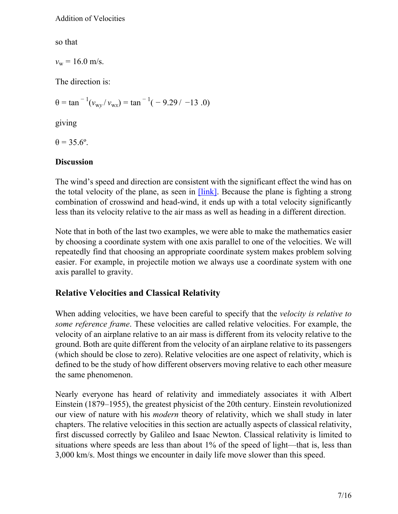so that

 $v_w = 16.0$  m/s.

The direction is:

$$
\theta = \tan^{-1}(v_{wy}/v_{wx}) = \tan^{-1}(-9.29 / -13.0)
$$

giving

 $\theta = 35.6^\circ$ .

# **Discussion**

The wind's speed and direction are consistent with the significant effect the wind has on the total velocity of the plane, as seen in  $[\text{link}]$ . Because the plane is fighting a strong combination of crosswind and head-wind, it ends up with a total velocity significantly less than its velocity relative to the air mass as well as heading in a different direction.

Note that in both of the last two examples, we were able to make the mathematics easier by choosing a coordinate system with one axis parallel to one of the velocities. We will repeatedly find that choosing an appropriate coordinate system makes problem solving easier. For example, in projectile motion we always use a coordinate system with one axis parallel to gravity.

# **Relative Velocities and Classical Relativity**

When adding velocities, we have been careful to specify that the *velocity is relative to some reference frame*. These velocities are called relative velocities. For example, the velocity of an airplane relative to an air mass is different from its velocity relative to the ground. Both are quite different from the velocity of an airplane relative to its passengers (which should be close to zero). Relative velocities are one aspect of relativity, which is defined to be the study of how different observers moving relative to each other measure the same phenomenon.

Nearly everyone has heard of relativity and immediately associates it with Albert Einstein (1879–1955), the greatest physicist of the 20th century. Einstein revolutionized our view of nature with his *modern* theory of relativity, which we shall study in later chapters. The relative velocities in this section are actually aspects of classical relativity, first discussed correctly by Galileo and Isaac Newton. Classical relativity is limited to situations where speeds are less than about 1% of the speed of light—that is, less than 3,000 km/s. Most things we encounter in daily life move slower than this speed.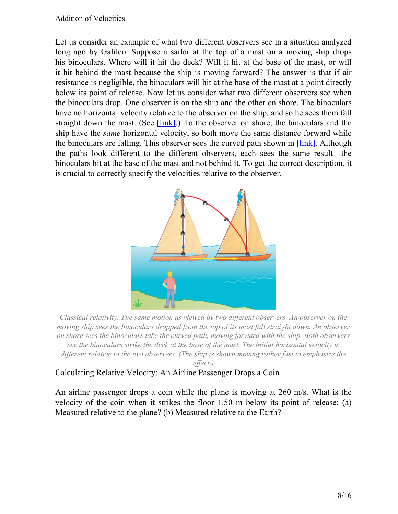Let us consider an example of what two different observers see in a situation analyzed long ago by Galileo. Suppose a sailor at the top of a mast on a moving ship drops his binoculars. Where will it hit the deck? Will it hit at the base of the mast, or will it hit behind the mast because the ship is moving forward? The answer is that if air resistance is negligible, the binoculars will hit at the base of the mast at a point directly below its point of release. Now let us consider what two different observers see when the binoculars drop. One observer is on the ship and the other on shore. The binoculars have no horizontal velocity relative to the observer on the ship, and so he sees them fall straight down the mast. (See  $\boxed{\text{link}}$ .) To the observer on shore, the binoculars and the ship have the *same* horizontal velocity, so both move the same distance forward while the binoculars are falling. This observer sees the curved path shown in [\[link\]](#page-7-0). Although the paths look different to the different observers, each sees the same result—the binoculars hit at the base of the mast and not behind it. To get the correct description, it is crucial to correctly specify the velocities relative to the observer.

<span id="page-7-0"></span>

*Classical relativity. The same motion as viewed by two different observers. An observer on the moving ship sees the binoculars dropped from the top of its mast fall straight down. An observer on shore sees the binoculars take the curved path, moving forward with the ship. Both observers see the binoculars strike the deck at the base of the mast. The initial horizontal velocity is different relative to the two observers. (The ship is shown moving rather fast to emphasize the*

*effect.)*

#### <span id="page-7-1"></span>Calculating Relative Velocity: An Airline Passenger Drops a Coin

An airline passenger drops a coin while the plane is moving at 260 m/s. What is the velocity of the coin when it strikes the floor 1.50 m below its point of release: (a) Measured relative to the plane? (b) Measured relative to the Earth?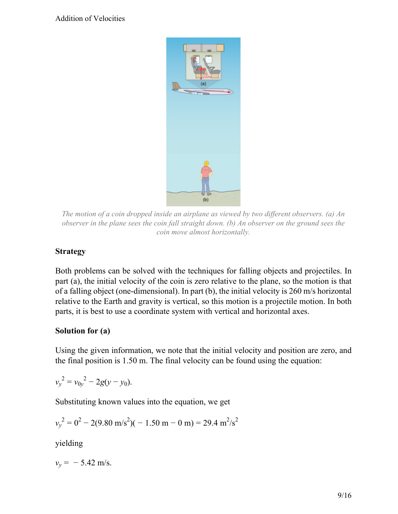<span id="page-8-0"></span>

*The motion of a coin dropped inside an airplane as viewed by two different observers. (a) An observer in the plane sees the coin fall straight down. (b) An observer on the ground sees the coin move almost horizontally.*

#### **Strategy**

Both problems can be solved with the techniques for falling objects and projectiles. In part (a), the initial velocity of the coin is zero relative to the plane, so the motion is that of a falling object (one-dimensional). In part (b), the initial velocity is 260 m/s horizontal relative to the Earth and gravity is vertical, so this motion is a projectile motion. In both parts, it is best to use a coordinate system with vertical and horizontal axes.

#### **Solution for (a)**

Using the given information, we note that the initial velocity and position are zero, and the final position is 1.50 m. The final velocity can be found using the equation:

$$
v_y^2 = v_{0y}^2 - 2g(y - y_0).
$$

Substituting known values into the equation, we get

$$
v_y^2 = 0^2 - 2(9.80 \text{ m/s}^2)(-1.50 \text{ m} - 0 \text{ m}) = 29.4 \text{ m}^2/\text{s}^2
$$

yielding

 $v_y = -5.42$  m/s.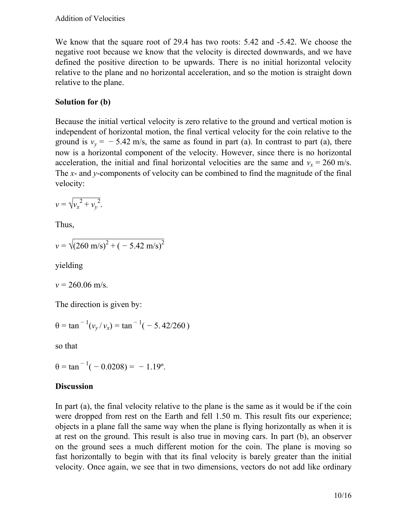We know that the square root of 29.4 has two roots: 5.42 and -5.42. We choose the negative root because we know that the velocity is directed downwards, and we have defined the positive direction to be upwards. There is no initial horizontal velocity relative to the plane and no horizontal acceleration, and so the motion is straight down relative to the plane.

#### **Solution for (b)**

Because the initial vertical velocity is zero relative to the ground and vertical motion is independent of horizontal motion, the final vertical velocity for the coin relative to the ground is  $v_y = -5.42$  m/s, the same as found in part (a). In contrast to part (a), there now is a horizontal component of the velocity. However, since there is no horizontal acceleration, the initial and final horizontal velocities are the same and  $v_x = 260$  m/s. The *x*- and *y*-components of velocity can be combined to find the magnitude of the final velocity:

$$
v = \sqrt{{v_x}^2 + {v_y}^2}.
$$

Thus,

$$
v = \sqrt{(260 \text{ m/s})^2 + (-5.42 \text{ m/s})^2}
$$

yielding

$$
v = 260.06
$$
 m/s.

The direction is given by:

$$
\theta = \tan^{-1}(v_y/v_x) = \tan^{-1}(-5.42/260)
$$

so that

 $\theta = \tan^{-1}(-0.0208) = -1.19^{\circ}.$ 

#### **Discussion**

In part (a), the final velocity relative to the plane is the same as it would be if the coin were dropped from rest on the Earth and fell 1.50 m. This result fits our experience; objects in a plane fall the same way when the plane is flying horizontally as when it is at rest on the ground. This result is also true in moving cars. In part (b), an observer on the ground sees a much different motion for the coin. The plane is moving so fast horizontally to begin with that its final velocity is barely greater than the initial velocity. Once again, we see that in two dimensions, vectors do not add like ordinary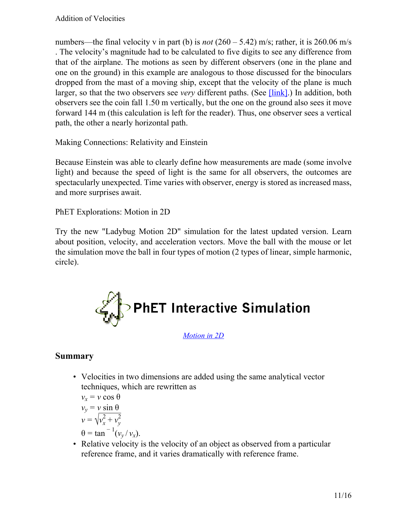numbers—the final velocity v in part (b) is *not*  $(260 - 5.42)$  m/s; rather, it is 260.06 m/s . The velocity's magnitude had to be calculated to five digits to see any difference from that of the airplane. The motions as seen by different observers (one in the plane and one on the ground) in this example are analogous to those discussed for the binoculars dropped from the mast of a moving ship, except that the velocity of the plane is much larger, so that the two observers see *very* different paths. (See *[link]***.)** In addition, both observers see the coin fall 1.50 m vertically, but the one on the ground also sees it move forward 144 m (this calculation is left for the reader). Thus, one observer sees a vertical path, the other a nearly horizontal path.

Making Connections: Relativity and Einstein

Because Einstein was able to clearly define how measurements are made (some involve light) and because the speed of light is the same for all observers, the outcomes are spectacularly unexpected. Time varies with observer, energy is stored as increased mass, and more surprises await.

PhET Explorations: Motion in 2D

Try the new "Ladybug Motion 2D" simulation for the latest updated version. Learn about position, velocity, and acceleration vectors. Move the ball with the mouse or let the simulation move the ball in four types of motion (2 types of linear, simple harmonic, circle).



*[Motion in 2D](/home/voer/vp/vp.transformer/src/vpt.transformer/vpt/transformer/transforms/20140124-082918-ff62f920-1/motion-2d_en.jar)*

## **Summary**

• Velocities in two dimensions are added using the same analytical vector techniques, which are rewritten as

$$
\begin{aligned} v_x &= v \cos \theta \\ v_y &= v \sin \theta \\ v &= \sqrt{v_x^2 + v_y^2} \\ \theta &= \tan^{-1} (v_y / v_x). \end{aligned}
$$

• Relative velocity is the velocity of an object as observed from a particular reference frame, and it varies dramatically with reference frame.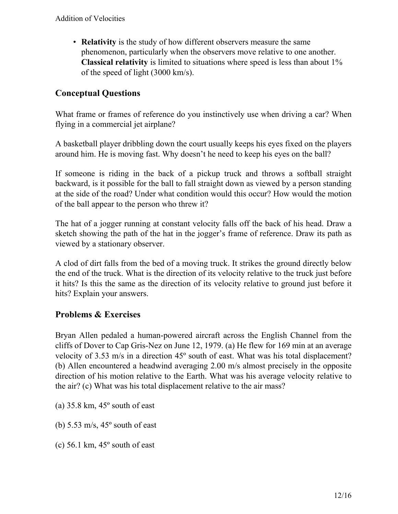• **Relativity** is the study of how different observers measure the same phenomenon, particularly when the observers move relative to one another. **Classical relativity** is limited to situations where speed is less than about 1% of the speed of light (3000 km/s).

## **Conceptual Questions**

What frame or frames of reference do you instinctively use when driving a car? When flying in a commercial jet airplane?

A basketball player dribbling down the court usually keeps his eyes fixed on the players around him. He is moving fast. Why doesn't he need to keep his eyes on the ball?

If someone is riding in the back of a pickup truck and throws a softball straight backward, is it possible for the ball to fall straight down as viewed by a person standing at the side of the road? Under what condition would this occur? How would the motion of the ball appear to the person who threw it?

The hat of a jogger running at constant velocity falls off the back of his head. Draw a sketch showing the path of the hat in the jogger's frame of reference. Draw its path as viewed by a stationary observer.

A clod of dirt falls from the bed of a moving truck. It strikes the ground directly below the end of the truck. What is the direction of its velocity relative to the truck just before it hits? Is this the same as the direction of its velocity relative to ground just before it hits? Explain your answers.

## **Problems & Exercises**

Bryan Allen pedaled a human-powered aircraft across the English Channel from the cliffs of Dover to Cap Gris-Nez on June 12, 1979. (a) He flew for 169 min at an average velocity of 3.53 m/s in a direction 45º south of east. What was his total displacement? (b) Allen encountered a headwind averaging 2.00 m/s almost precisely in the opposite direction of his motion relative to the Earth. What was his average velocity relative to the air? (c) What was his total displacement relative to the air mass?

- (a) 35.8 km, 45º south of east
- (b)  $5.53 \text{ m/s}$ ,  $45^{\circ}$  south of east
- (c)  $56.1 \text{ km}$ ,  $45^{\circ}$  south of east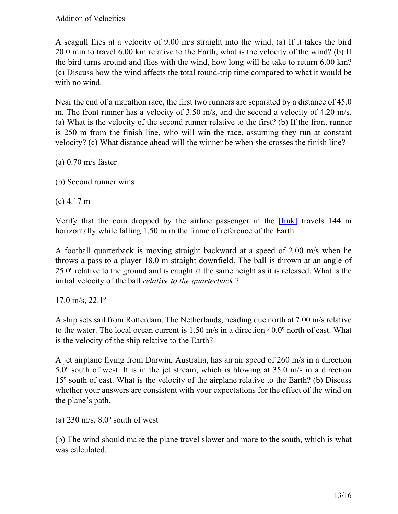A seagull flies at a velocity of 9.00 m/s straight into the wind. (a) If it takes the bird 20.0 min to travel 6.00 km relative to the Earth, what is the velocity of the wind? (b) If the bird turns around and flies with the wind, how long will he take to return 6.00 km? (c) Discuss how the wind affects the total round-trip time compared to what it would be with no wind.

Near the end of a marathon race, the first two runners are separated by a distance of 45.0 m. The front runner has a velocity of 3.50 m/s, and the second a velocity of 4.20 m/s. (a) What is the velocity of the second runner relative to the first? (b) If the front runner is 250 m from the finish line, who will win the race, assuming they run at constant velocity? (c) What distance ahead will the winner be when she crosses the finish line?

(a) 0.70 m/s faster

(b) Second runner wins

(c) 4.17 m

Verify that the coin dropped by the airline passenger in the [\[link\]](#page-7-1) travels 144 m horizontally while falling 1.50 m in the frame of reference of the Earth.

A football quarterback is moving straight backward at a speed of 2.00 m/s when he throws a pass to a player 18.0 m straight downfield. The ball is thrown at an angle of 25.0º relative to the ground and is caught at the same height as it is released. What is the initial velocity of the ball *relative to the quarterback* ?

17.0 m/s, 22.1º

<span id="page-12-0"></span>A ship sets sail from Rotterdam, The Netherlands, heading due north at 7.00 m/s relative to the water. The local ocean current is 1.50 m/s in a direction 40.0º north of east. What is the velocity of the ship relative to the Earth?

<span id="page-12-1"></span>A jet airplane flying from Darwin, Australia, has an air speed of 260 m/s in a direction 5.0º south of west. It is in the jet stream, which is blowing at 35.0 m/s in a direction 15º south of east. What is the velocity of the airplane relative to the Earth? (b) Discuss whether your answers are consistent with your expectations for the effect of the wind on the plane's path.

(a)  $230 \text{ m/s}$ ,  $8.0^{\circ}$  south of west

(b) The wind should make the plane travel slower and more to the south, which is what was calculated.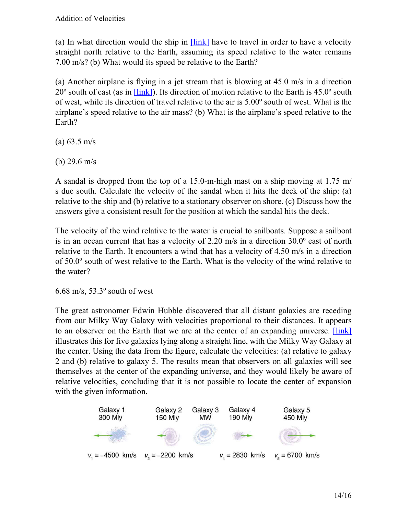(a) In what direction would the ship in  $[\text{link}]$  have to travel in order to have a velocity straight north relative to the Earth, assuming its speed relative to the water remains 7.00 m/s? (b) What would its speed be relative to the Earth?

(a) Another airplane is flying in a jet stream that is blowing at 45.0 m/s in a direction  $20^{\circ}$  south of east (as in  $\overline{\text{link}}$ ). Its direction of motion relative to the Earth is 45.0° south of west, while its direction of travel relative to the air is 5.00º south of west. What is the airplane's speed relative to the air mass? (b) What is the airplane's speed relative to the Earth?

(a) 63.5 m/s

(b) 29.6 m/s

A sandal is dropped from the top of a 15.0-m-high mast on a ship moving at 1.75 m/ s due south. Calculate the velocity of the sandal when it hits the deck of the ship: (a) relative to the ship and (b) relative to a stationary observer on shore. (c) Discuss how the answers give a consistent result for the position at which the sandal hits the deck.

The velocity of the wind relative to the water is crucial to sailboats. Suppose a sailboat is in an ocean current that has a velocity of 2.20 m/s in a direction 30.0º east of north relative to the Earth. It encounters a wind that has a velocity of 4.50 m/s in a direction of 50.0º south of west relative to the Earth. What is the velocity of the wind relative to the water?

6.68 m/s, 53.3º south of west

The great astronomer Edwin Hubble discovered that all distant galaxies are receding from our Milky Way Galaxy with velocities proportional to their distances. It appears to an observer on the Earth that we are at the center of an expanding universe. [\[link\]](#page-13-0) illustrates this for five galaxies lying along a straight line, with the Milky Way Galaxy at the center. Using the data from the figure, calculate the velocities: (a) relative to galaxy 2 and (b) relative to galaxy 5. The results mean that observers on all galaxies will see themselves at the center of the expanding universe, and they would likely be aware of relative velocities, concluding that it is not possible to locate the center of expansion with the given information.

<span id="page-13-0"></span>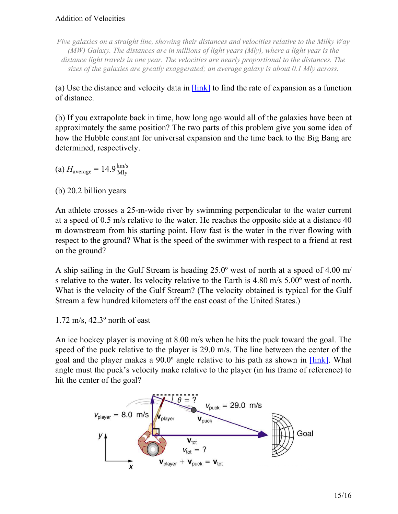*Five galaxies on a straight line, showing their distances and velocities relative to the Milky Way (MW) Galaxy. The distances are in millions of light years (Mly), where a light year is the distance light travels in one year. The velocities are nearly proportional to the distances. The sizes of the galaxies are greatly exaggerated; an average galaxy is about 0.1 Mly across.*

(a) Use the distance and velocity data in  $[\text{link}]$  to find the rate of expansion as a function of distance.

(b) If you extrapolate back in time, how long ago would all of the galaxies have been at approximately the same position? The two parts of this problem give you some idea of how the Hubble constant for universal expansion and the time back to the Big Bang are determined, respectively.

(a)  $H_{\text{average}} = 14.9 \frac{\text{km/s}}{\text{Mlv}}$ Mly

(b) 20.2 billion years

An athlete crosses a 25-m-wide river by swimming perpendicular to the water current at a speed of 0.5 m/s relative to the water. He reaches the opposite side at a distance 40 m downstream from his starting point. How fast is the water in the river flowing with respect to the ground? What is the speed of the swimmer with respect to a friend at rest on the ground?

A ship sailing in the Gulf Stream is heading 25.0º west of north at a speed of 4.00 m/ s relative to the water. Its velocity relative to the Earth is 4.80 m/s 5.00º west of north. What is the velocity of the Gulf Stream? (The velocity obtained is typical for the Gulf Stream a few hundred kilometers off the east coast of the United States.)

1.72 m/s, 42.3º north of east

<span id="page-14-0"></span>An ice hockey player is moving at 8.00 m/s when he hits the puck toward the goal. The speed of the puck relative to the player is 29.0 m/s. The line between the center of the goal and the player makes a 90.0° angle relative to his path as shown in [\[link\]](#page-14-0). What angle must the puck's velocity make relative to the player (in his frame of reference) to hit the center of the goal?